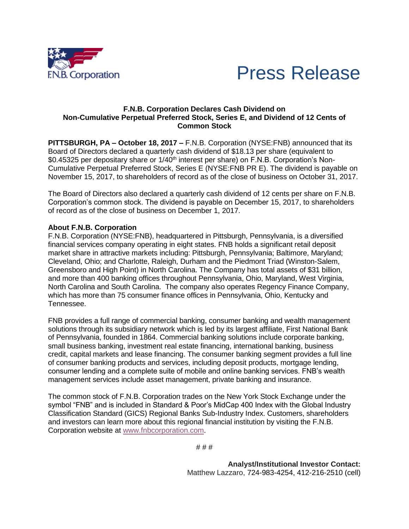



## **F.N.B. Corporation Declares Cash Dividend on Non-Cumulative Perpetual Preferred Stock, Series E, and Dividend of 12 Cents of Common Stock**

**PITTSBURGH, PA – October 18, 2017 –** F.N.B. Corporation (NYSE:FNB) announced that its Board of Directors declared a quarterly cash dividend of \$18.13 per share (equivalent to \$0.45325 per depositary share or  $1/40<sup>th</sup>$  interest per share) on F.N.B. Corporation's Non-Cumulative Perpetual Preferred Stock, Series E (NYSE:FNB PR E). The dividend is payable on November 15, 2017, to shareholders of record as of the close of business on October 31, 2017.

The Board of Directors also declared a quarterly cash dividend of 12 cents per share on F.N.B. Corporation's common stock. The dividend is payable on December 15, 2017, to shareholders of record as of the close of business on December 1, 2017.

## **About F.N.B. Corporation**

F.N.B. Corporation (NYSE:FNB), headquartered in Pittsburgh, Pennsylvania, is a diversified financial services company operating in eight states. FNB holds a significant retail deposit market share in attractive markets including: Pittsburgh, Pennsylvania; Baltimore, Maryland; Cleveland, Ohio; and Charlotte, Raleigh, Durham and the Piedmont Triad (Winston-Salem, Greensboro and High Point) in North Carolina. The Company has total assets of \$31 billion, and more than 400 banking offices throughout Pennsylvania, Ohio, Maryland, West Virginia, North Carolina and South Carolina. The company also operates Regency Finance Company, which has more than 75 consumer finance offices in Pennsylvania, Ohio, Kentucky and Tennessee.

FNB provides a full range of commercial banking, consumer banking and wealth management solutions through its subsidiary network which is led by its largest affiliate, First National Bank of Pennsylvania, founded in 1864. Commercial banking solutions include corporate banking, small business banking, investment real estate financing, international banking, business credit, capital markets and lease financing. The consumer banking segment provides a full line of consumer banking products and services, including deposit products, mortgage lending, consumer lending and a complete suite of mobile and online banking services. FNB's wealth management services include asset management, private banking and insurance.

The common stock of F.N.B. Corporation trades on the New York Stock Exchange under the symbol "FNB" and is included in Standard & Poor's MidCap 400 Index with the Global Industry Classification Standard (GICS) Regional Banks Sub-Industry Index. Customers, shareholders and investors can learn more about this regional financial institution by visiting the F.N.B. Corporation website at [www.fnbcorporation.com.](https://www.fnb-online.com/about-us)

# # #

**Analyst/Institutional Investor Contact:**  Matthew Lazzaro, 724-983-4254, 412-216-2510 (cell)